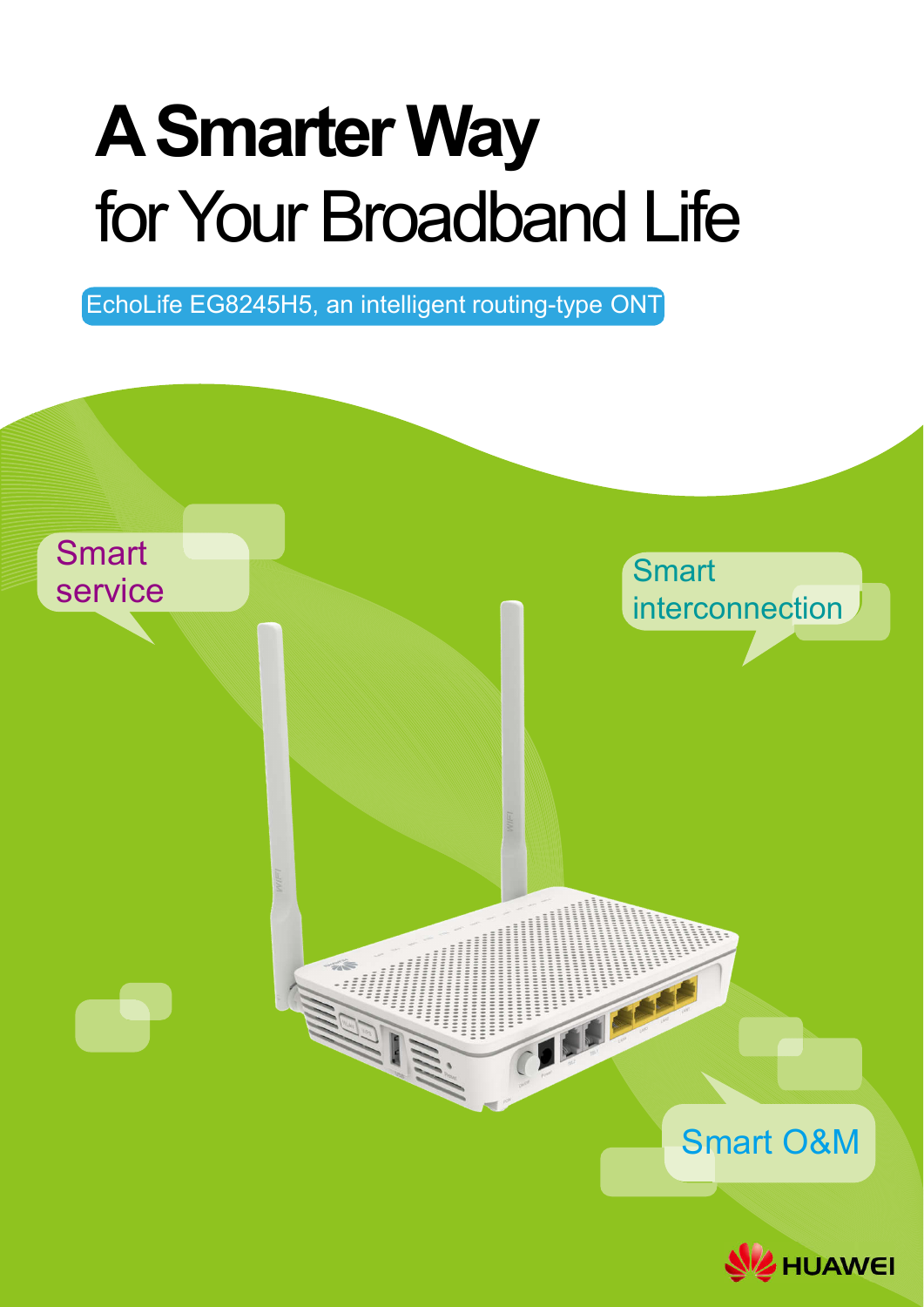# **A Smarter Way**  for Your Broadband Life

EchoLife EG8245H5, an intelligent routing-type ONT